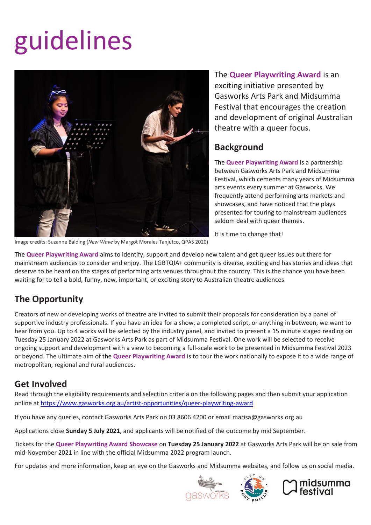# guidelines



Image credits: Suzanne Balding (*New Wave* by Margot Morales Tanjutco, QPAS 2020)

The **Queer Playwriting Award** is an exciting initiative presented by Gasworks Arts Park and Midsumma Festival that encourages the creation and development of original Australian theatre with a queer focus.

#### **Background**

The **Queer Playwriting Award** is a partnership between Gasworks Arts Park and Midsumma Festival, which cements many years of Midsumma arts events every summer at Gasworks. We frequently attend performing arts markets and showcases, and have noticed that the plays presented for touring to mainstream audiences seldom deal with queer themes.

It is time to change that!

The **Queer Playwriting Award** aims to identify, support and develop new talent and get queer issues out there for mainstream audiences to consider and enjoy. The LGBTQIA+ community is diverse, exciting and has stories and ideas that deserve to be heard on the stages of performing arts venues throughout the country. This is the chance you have been waiting for to tell a bold, funny, new, important, or exciting story to Australian theatre audiences.

## **The Opportunity**

Creators of new or developing works of theatre are invited to submit their proposals for consideration by a panel of supportive industry professionals. If you have an idea for a show, a completed script, or anything in between, we want to hear from you. Up to 4 works will be selected by the industry panel, and invited to present a 15 minute staged reading on Tuesday 25 January 2022 at Gasworks Arts Park as part of Midsumma Festival. One work will be selected to receive ongoing support and development with a view to becoming a full-scale work to be presented in Midsumma Festival 2023 or beyond. The ultimate aim of the **Queer Playwriting Award** is to tour the work nationally to expose it to a wide range of metropolitan, regional and rural audiences.

#### **Get Involved**

Read through the eligibility requirements and selection criteria on the following pages and then submit your application online at <https://www.gasworks.org.au/artist-opportunities/queer-playwriting-award>

If you have any queries, contact Gasworks Arts Park on 03 8606 4200 or email marisa@gasworks.org.au

Applications close **Sunday 5 July 2021**, and applicants will be notified of the outcome by mid September.

Tickets for the **Queer Playwriting Award Showcase** on **Tuesday 25 January 2022** at Gasworks Arts Park will be on sale from mid-November 2021 in line with the official Midsumma 2022 program launch.

For updates and more information, keep an eye on the Gasworks and Midsumma websites, and follow us on social media.





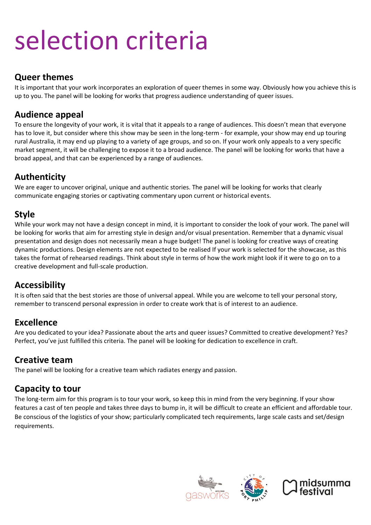## selection criteria

#### **Queer themes**

It is important that your work incorporates an exploration of queer themes in some way. Obviously how you achieve this is up to you. The panel will be looking for works that progress audience understanding of queer issues.

#### **Audience appeal**

To ensure the longevity of your work, it is vital that it appeals to a range of audiences. This doesn't mean that everyone has to love it, but consider where this show may be seen in the long-term - for example, your show may end up touring rural Australia, it may end up playing to a variety of age groups, and so on. If your work only appeals to a very specific market segment, it will be challenging to expose it to a broad audience. The panel will be looking for works that have a broad appeal, and that can be experienced by a range of audiences.

#### **Authenticity**

We are eager to uncover original, unique and authentic stories. The panel will be looking for works that clearly communicate engaging stories or captivating commentary upon current or historical events.

#### **Style**

While your work may not have a design concept in mind, it is important to consider the look of your work. The panel will be looking for works that aim for arresting style in design and/or visual presentation. Remember that a dynamic visual presentation and design does not necessarily mean a huge budget! The panel is looking for creative ways of creating dynamic productions. Design elements are not expected to be realised If your work is selected for the showcase, as this takes the format of rehearsed readings. Think about style in terms of how the work might look if it were to go on to a creative development and full-scale production.

#### **Accessibility**

It is often said that the best stories are those of universal appeal. While you are welcome to tell your personal story, remember to transcend personal expression in order to create work that is of interest to an audience.

#### **Excellence**

Are you dedicated to your idea? Passionate about the arts and queer issues? Committed to creative development? Yes? Perfect, you've just fulfilled this criteria. The panel will be looking for dedication to excellence in craft.

#### **Creative team**

The panel will be looking for a creative team which radiates energy and passion.

#### **Capacity to tour**

The long-term aim for this program is to tour your work, so keep this in mind from the very beginning. If your show features a cast of ten people and takes three days to bump in, it will be difficult to create an efficient and affordable tour. Be conscious of the logistics of your show; particularly complicated tech requirements, large scale casts and set/design requirements.





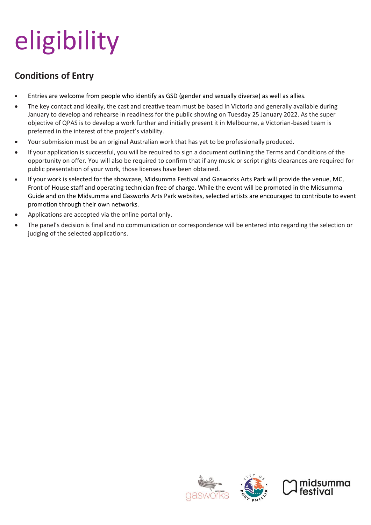# eligibility

## **Conditions of Entry**

- Entries are welcome from people who identify as GSD (gender and sexually diverse) as well as allies.
- The key contact and ideally, the cast and creative team must be based in Victoria and generally available during January to develop and rehearse in readiness for the public showing on Tuesday 25 January 2022. As the super objective of QPAS is to develop a work further and initially present it in Melbourne, a Victorian-based team is preferred in the interest of the project's viability.
- Your submission must be an original Australian work that has yet to be professionally produced.
- If your application is successful, you will be required to sign a document outlining the Terms and Conditions of the opportunity on offer. You will also be required to confirm that if any music or script rights clearances are required for public presentation of your work, those licenses have been obtained.
- If your work is selected for the showcase, Midsumma Festival and Gasworks Arts Park will provide the venue, MC, Front of House staff and operating technician free of charge. While the event will be promoted in the Midsumma Guide and on the Midsumma and Gasworks Arts Park websites, selected artists are encouraged to contribute to event promotion through their own networks.
- Applications are accepted via the online portal only.
- The panel's decision is final and no communication or correspondence will be entered into regarding the selection or judging of the selected applications.